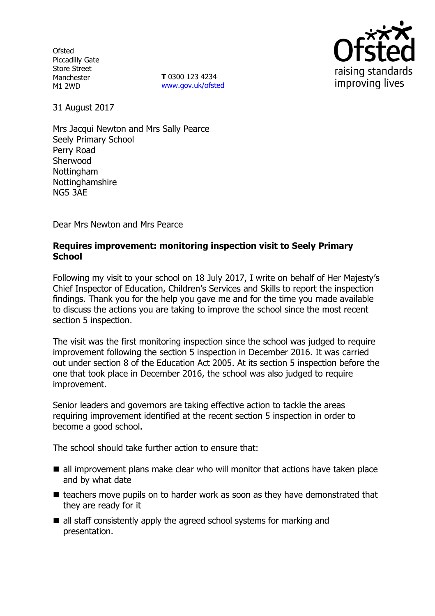**Ofsted** Piccadilly Gate Store Street Manchester M1 2WD

**T** 0300 123 4234 www.gov.uk/ofsted



31 August 2017

Mrs Jacqui Newton and Mrs Sally Pearce Seely Primary School Perry Road Sherwood **Nottingham** Nottinghamshire NG5 3AE

Dear Mrs Newton and Mrs Pearce

# **Requires improvement: monitoring inspection visit to Seely Primary School**

Following my visit to your school on 18 July 2017, I write on behalf of Her Majesty's Chief Inspector of Education, Children's Services and Skills to report the inspection findings. Thank you for the help you gave me and for the time you made available to discuss the actions you are taking to improve the school since the most recent section 5 inspection.

The visit was the first monitoring inspection since the school was judged to require improvement following the section 5 inspection in December 2016. It was carried out under section 8 of the Education Act 2005. At its section 5 inspection before the one that took place in December 2016, the school was also judged to require improvement.

Senior leaders and governors are taking effective action to tackle the areas requiring improvement identified at the recent section 5 inspection in order to become a good school.

The school should take further action to ensure that:

- all improvement plans make clear who will monitor that actions have taken place and by what date
- $\blacksquare$  teachers move pupils on to harder work as soon as they have demonstrated that they are ready for it
- all staff consistently apply the agreed school systems for marking and presentation.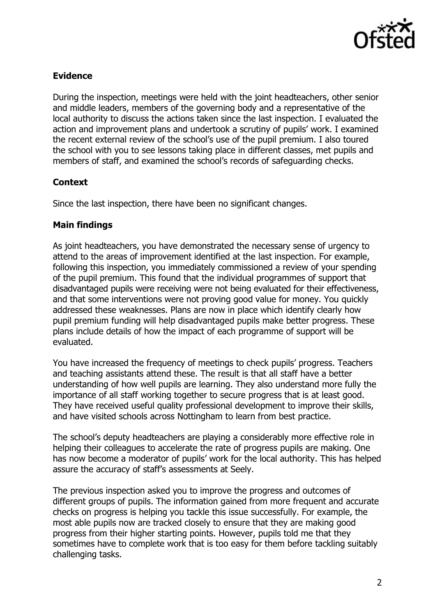

# **Evidence**

During the inspection, meetings were held with the joint headteachers, other senior and middle leaders, members of the governing body and a representative of the local authority to discuss the actions taken since the last inspection. I evaluated the action and improvement plans and undertook a scrutiny of pupils' work. I examined the recent external review of the school's use of the pupil premium. I also toured the school with you to see lessons taking place in different classes, met pupils and members of staff, and examined the school's records of safeguarding checks.

### **Context**

Since the last inspection, there have been no significant changes.

### **Main findings**

As joint headteachers, you have demonstrated the necessary sense of urgency to attend to the areas of improvement identified at the last inspection. For example, following this inspection, you immediately commissioned a review of your spending of the pupil premium. This found that the individual programmes of support that disadvantaged pupils were receiving were not being evaluated for their effectiveness, and that some interventions were not proving good value for money. You quickly addressed these weaknesses. Plans are now in place which identify clearly how pupil premium funding will help disadvantaged pupils make better progress. These plans include details of how the impact of each programme of support will be evaluated.

You have increased the frequency of meetings to check pupils' progress. Teachers and teaching assistants attend these. The result is that all staff have a better understanding of how well pupils are learning. They also understand more fully the importance of all staff working together to secure progress that is at least good. They have received useful quality professional development to improve their skills, and have visited schools across Nottingham to learn from best practice.

The school's deputy headteachers are playing a considerably more effective role in helping their colleagues to accelerate the rate of progress pupils are making. One has now become a moderator of pupils' work for the local authority. This has helped assure the accuracy of staff's assessments at Seely.

The previous inspection asked you to improve the progress and outcomes of different groups of pupils. The information gained from more frequent and accurate checks on progress is helping you tackle this issue successfully. For example, the most able pupils now are tracked closely to ensure that they are making good progress from their higher starting points. However, pupils told me that they sometimes have to complete work that is too easy for them before tackling suitably challenging tasks.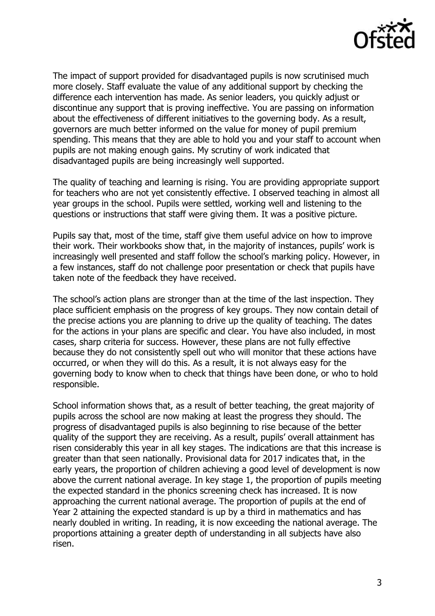

The impact of support provided for disadvantaged pupils is now scrutinised much more closely. Staff evaluate the value of any additional support by checking the difference each intervention has made. As senior leaders, you quickly adjust or discontinue any support that is proving ineffective. You are passing on information about the effectiveness of different initiatives to the governing body. As a result, governors are much better informed on the value for money of pupil premium spending. This means that they are able to hold you and your staff to account when pupils are not making enough gains. My scrutiny of work indicated that disadvantaged pupils are being increasingly well supported.

The quality of teaching and learning is rising. You are providing appropriate support for teachers who are not yet consistently effective. I observed teaching in almost all year groups in the school. Pupils were settled, working well and listening to the questions or instructions that staff were giving them. It was a positive picture.

Pupils say that, most of the time, staff give them useful advice on how to improve their work. Their workbooks show that, in the majority of instances, pupils' work is increasingly well presented and staff follow the school's marking policy. However, in a few instances, staff do not challenge poor presentation or check that pupils have taken note of the feedback they have received.

The school's action plans are stronger than at the time of the last inspection. They place sufficient emphasis on the progress of key groups. They now contain detail of the precise actions you are planning to drive up the quality of teaching. The dates for the actions in your plans are specific and clear. You have also included, in most cases, sharp criteria for success. However, these plans are not fully effective because they do not consistently spell out who will monitor that these actions have occurred, or when they will do this. As a result, it is not always easy for the governing body to know when to check that things have been done, or who to hold responsible.

School information shows that, as a result of better teaching, the great majority of pupils across the school are now making at least the progress they should. The progress of disadvantaged pupils is also beginning to rise because of the better quality of the support they are receiving. As a result, pupils' overall attainment has risen considerably this year in all key stages. The indications are that this increase is greater than that seen nationally. Provisional data for 2017 indicates that, in the early years, the proportion of children achieving a good level of development is now above the current national average. In key stage 1, the proportion of pupils meeting the expected standard in the phonics screening check has increased. It is now approaching the current national average. The proportion of pupils at the end of Year 2 attaining the expected standard is up by a third in mathematics and has nearly doubled in writing. In reading, it is now exceeding the national average. The proportions attaining a greater depth of understanding in all subjects have also risen.